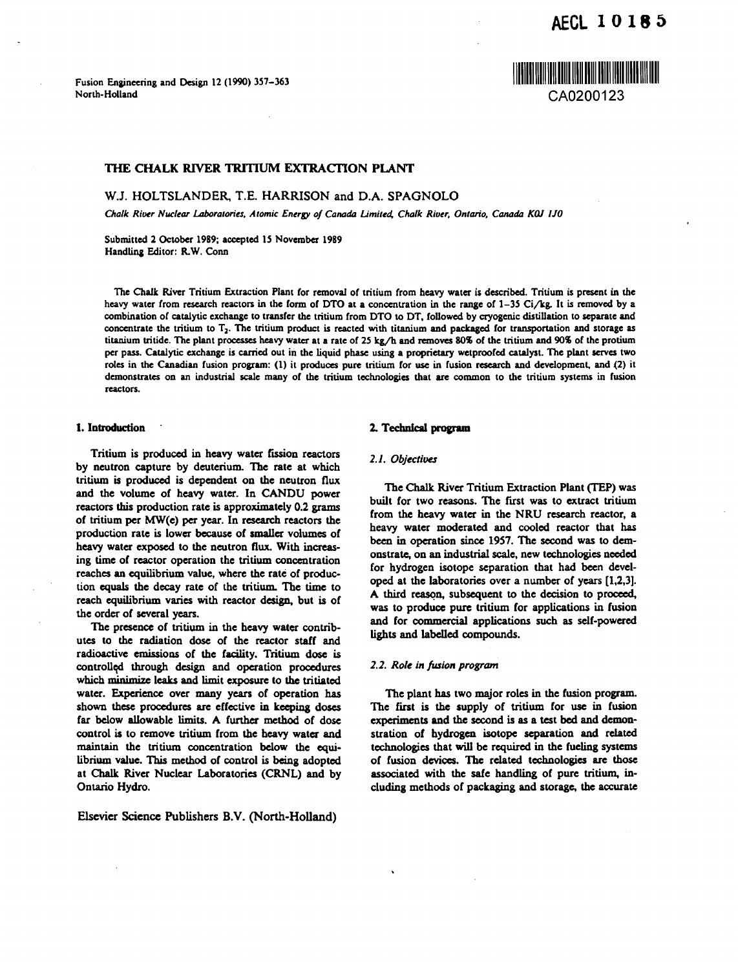<u> Harry Harry Harry Harry Harry Harry Harry Harry Harry Harry Harry Harry Harry Harry Harry Harry Harry Harry H</u>

**Fusion Engineering and Design 12 (1990) 357-363 North-Holland** CA0200123

# **THE CHALK RIVER TRITIUM EXTRACTION PLANT**

**W.J. HOLTSLANDER, T.E. HARRISON and D.A. SPAGNOLO**

*Chalk River Nuclear Laboratories, Atomic Energy of Canada Limited, Chalk River, Ontario, Canada KQJ I JO*

**Submitted 2 October 1989; accepted 15 November 1989 Handling Editor: R.W. Conn**

**The Chalk River Tritium Extraction Plant for removal of tritium from heavy water is described. Tritium is present in the heavy water from research reactors in the form of DTO at a concentration in the range of 1-3S Ci/kg. It is removed by a combination of catalytic exchange to transfer the tritium from DTO to DT, followed by cryogenic distillation to separate and concentrate the tritium to T} . The tritium product is reacted with titanium and packaged for transportation and storage as titanium tritide. The plant processes heavy water at a rate of 25 kg/h and removes 80% of the tritium and 90% of the protium per pass. Catalytic exchange is carried out in the liquid phase using a proprietary wetproofed catalyst. The plant serves two roles in the Canadian fusion program: (1) it produces pure tritium for use in fusion research and development, and (2) it demonstrates on an industrial scale many of the tritium technologies that are common to the tritium systems in fusion reactors.**

#### **1. Introduction '**

**Tritium is produced in heavy water fission reactors by neutron capture by deuterium. The rate at which tritium is produced is dependent on the neutron flux and the volume of heavy water. In CANDU power reactors this production rate is approximately 0.2 grams of tritium per MW(e) per year. In research reactors the production rate is lower because of smaller volumes of heavy water exposed to the neutron flux. With increasing time of reactor operation the tritium concentration reaches an equilibrium value, where the rate of production equals the decay rate of the tritium. The time to reach equilibrium varies with reactor design, but is of the order of several years.**

**The presence of tritium in the heavy water contributes to the radiation dose of the reactor staff and radioactive emissions of the facility. Tritium dose is controlled through design and operation procedures which minimize leaks and limit exposure to the tritiated water. Experience over many years of operation has shown these procedures are effective in keeping doses far below allowable limits. A further method of dose control is to remove tritium from the heavy water and maintain the tritium concentration below the equilibrium value. This method of control is being adopted at Chalk River Nuclear Laboratories (CRNL) and by Ontario Hydro.**

**Elscvier Science Publishers B.V. (North-Holland)**

## **2. Technical program**

## *2.1. Objectives*

**The Chalk River Tritium Extraction Plant (TEP) was built for two reasons. The first was to extract tritium from the heavy water in the NRU research reactor, a heavy water moderated and cooled reactor that has been in operation since 1957. The second was to demonstrate, on an industrial scale, new technologies needed for hydrogen isotope separation that had been developed at the laboratories over a number of years [1,2,3]. A third reason, subsequent to the decision to proceed, was to produce pure tritium for applications in fusion and for commercial applications such as self-powered lights and labelled compounds.**

## *2.2. Role in fusion program*

**The plant has two major roles in the fusion program. The first is the supply of tritium for use in fusion experiments and the second is as a test bed and demonstration of hydrogen isotope separation and related technologies that will be required in the fueling systems of fusion devices. The related technologies are those associated with the safe handling of pure tritium, including methods of packaging and storage, the accurate**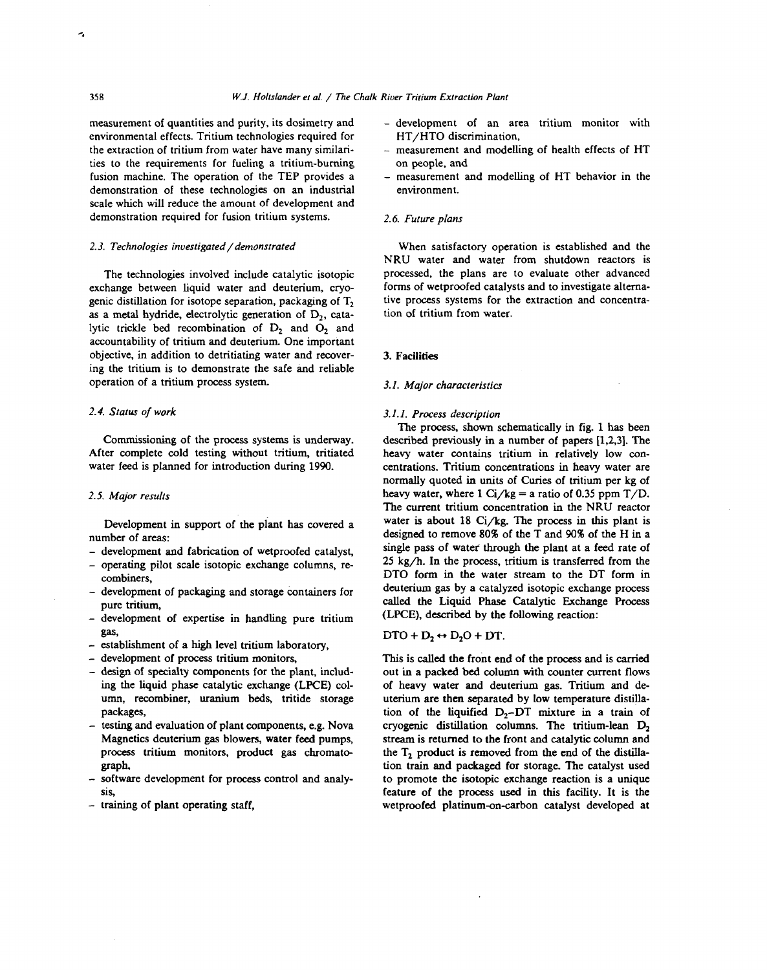measurement of quantities and purity, its dosimetry and environmental effects. Tritium technologies required for the extraction of tritium from water have many similarities to the requirements for fueling a tritium-burning fusion machine. The operation of the TEP provides a demonstration of these technologies on an industrial scale which will reduce the amount of development and demonstration required for fusion tritium systems.

# *2.3. Technologies investigated/demonstrated*

The technologies involved include catalytic isotopic exchange between liquid water and deuterium, cryogenic distillation for isotope separation, packaging of  $T<sub>2</sub>$ as a metal hydride, electrolytic generation of  $D_2$ , catalytic trickle bed recombination of D<sub>2</sub> and O<sub>2</sub> and accountability of tritium and deuterium. One important objective, in addition to detritiating water and recovering the tritium is to demonstrate the safe and reliable operation of a tritium process system.

# *2.4. Status of work*

Commissioning of the process systems is underway. After complete cold testing without tritium, tritiated water feed is planned for introduction during 1990.

#### *2.5. Major results*

Development in support of the plant has covered a number of areas:

- development and fabrication of wetproofed catalyst,
- operating pilot scale isotopic exchange columns, recombiners,
- development of packaging and storage containers for pure tritium,
- development of expertise in handling pure tritium gas,
- establishment of a high level tritium laboratory,
- development of process tritium monitors,
- design of specialty components for the plant, including the liquid phase catalytic exchange (LPCE) column, recombiner, uranium beds, tritide storage packages,
- testing and evaluation of plant components, e.g. Nova Magnetics deuterium gas blowers, water feed pumps, process tritium monitors, product gas chromatograph,
- software development for process control and analysis,
- training of plant operating staff,
- development of an area tritium monitor with HT/HTO discrimination,
- measurement and modelling of health effects of HT on people, and
- measurement and modelling of HT behavior in the environment.

## *2.6. Future plans*

When satisfactory operation is established and the NRU water and water from shutdown reactors is processed, the plans are to evaluate other advanced forms of wetproofed catalysts and to investigate alternative process systems for the extraction and concentration of tritium from water.

# 3. Facilities

## *3.1. Major characteristics*

#### *3.1.1. Process description*

The process, shown schematically in fig. 1 has been described previously in a number of papers [1,2,3]. The heavy water contains tritium in relatively low concentrations. Tritium concentrations in heavy water are normally quoted in units of Curies of tritium per kg of heavy water, where  $1 \text{ Ci/kg} = a$  ratio of 0.35 ppm T/D. The current tritium concentration in the NRU reactor water is about 18  $Ci/kg$ . The process in this plant is designed to remove 80% of the T and 90% of the H in a single pass of water through the plant at a feed rate of 25 kg/h. In the process, tritium is transferred from the DTO form in the water stream to the DT form in deuterium gas by a catalyzed isotopic exchange process called the Liquid Phase Catalytic Exchange Process (LPCE), described by the following reaction:

# $\text{DTO} + \text{D}_2 \leftrightarrow \text{D}_2\text{O} + \text{DT}.$

This is called the front end of the process and is carried out in a packed bed column with counter current flows of heavy water and deuterium gas. Tritium and deuterium are then separated by low temperature distillation of the liquified  $D_2-DT$  mixture in a train of cryogenic distillation columns. The tritium-lean  $D<sub>2</sub>$ stream is returned to the front and catalytic column and the  $T<sub>2</sub>$  product is removed from the end of the distillation train and packaged for storage. The catalyst used to promote the isotopic exchange reaction is a unique feature of the process used in this facility. It is the wetproofed platinum-on-carbon catalyst developed at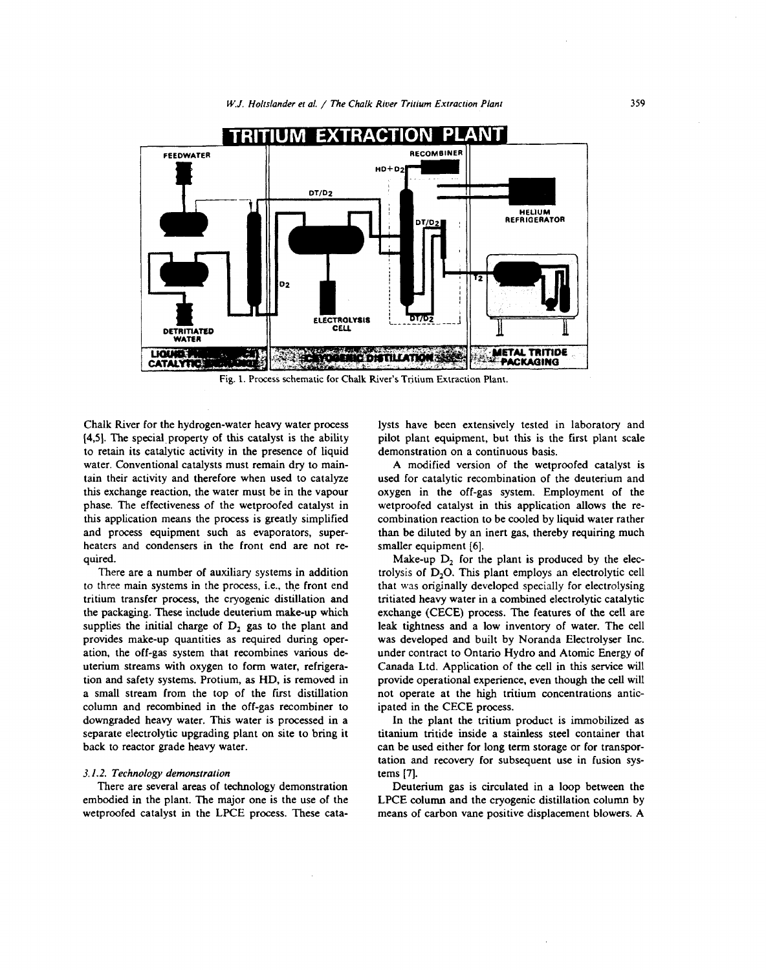

Fig. 1. Process schematic for Chalk River's Tritium Extraction Plant.

Chalk River for the hydrogen-water heavy water process [4,5]. The special property of this catalyst is the ability to retain its catalytic activity in the presence of liquid water. Conventional catalysts must remain dry to maintain their activity and therefore when used to catalyze this exchange reaction, the water must be in the vapour phase. The effectiveness of the wetproofed catalyst in this application means the process is greatly simplified and process equipment such as evaporators, superheaters and condensers in the front end are not required.

There are a number of auxiliary systems in addition to three main systems in the process, i.e., the front end tritium transfer process, the cryogenic distillation and the packaging. These include deuterium make-up which supplies the initial charge of  $D_2$  gas to the plant and provides make-up quantities as required during operation, the off-gas system that recombines various deuterium streams with oxygen to form water, refrigeration and safety systems. Protium, as HD, is removed in a small stream from the top of the first distillation column and recombined in the off-gas recombiner to downgraded heavy water. This water is processed in a separate electrolytic upgrading plant on site to bring it back to reactor grade heavy water.

## *3.1.2. Technology demonstration*

There are several areas of technology demonstration embodied in the plant. The major one is the use of the wetproofed catalyst in the LPCE process. These catalysts have been extensively tested in laboratory and pilot plant equipment, but this is the first plant scale demonstration on a continuous basis.

A modified version of the wetproofed catalyst is used for catalytic recombination of the deuterium and oxygen in the off-gas system. Employment of the wetproofed catalyst in this application allows the recombination reaction to be cooled by liquid water rather than be diluted by an inert gas, thereby requiring much smaller equipment [6].

Make-up  $D_2$  for the plant is produced by the electrolysis of D<sub>2</sub>O. This plant employs an electrolytic cell that was originally developed specially for electrolysing tritiated heavy water in a combined electrolytic catalytic exchange (CECE) process. The features of the cell are leak tightness and a low inventory of water. The cell was developed and built by Noranda Electrolyser Inc. under contract to Ontario Hydro and Atomic Energy of Canada Ltd. Application of the cell in this service will provide operational experience, even though the cell will not operate at the high tritium concentrations anticipated in the CECE process.

In the plant the tritium product is immobilized as titanium tritide inside a stainless steel container that can be used either for long term storage or for transportation and recovery for subsequent use in fusion systems [7].

Deuterium gas is circulated in a loop between the LPCE column and the cryogenic distillation column by means of carbon vane positive displacement blowers. A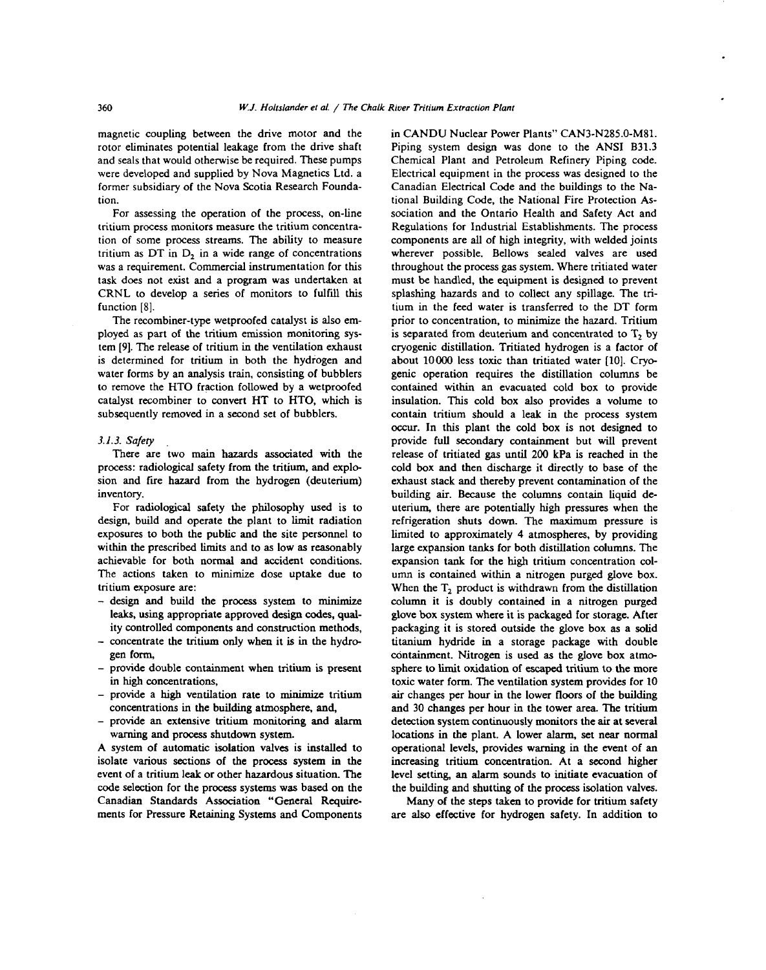magnetic coupling between the drive motor and the rotor eliminates potential leakage from the drive shaft and seals that would otherwise be required. These pumps were developed and supplied by Nova Magnetics Ltd. a former subsidiary of the Nova Scotia Research Foundation.

For assessing the operation of the process, on-line tritium process monitors measure the tritium concentration of some process streams. The ability to measure tritium as DT in  $D_2$  in a wide range of concentrations was a requirement. Commercial instrumentation for this task does not exist and a program was undertaken at CRNL to develop a series of monitors to fulfill this function [8].

The recombiner-type wetproofed catalyst is also employed as part of the tritium emission monitoring system [9]. The release of tritium in the ventilation exhaust is determined for tritium in both the hydrogen and water forms by an analysis train, consisting of bubblers to remove the HTO fraction followed by a wetproofed catalyst recombiner to convert HT to HTO, which is subsequently removed in a second set of bubblers.

#### *3.1.3. Safety*

There are two main hazards associated with the process: radiological safety from the tritium, and explosion and fire hazard from the hydrogen (deuterium) inventory.

For radiological safety the philosophy used is to design, build and operate the plant to limit radiation exposures to both the public and the site personnel to within the prescribed limits and to as low as reasonably achievable for both normal and accident conditions. The actions taken to minimize dose uptake due to tritium exposure are:

- design and build the process system to minimize leaks, using appropriate approved design codes, quality controlled components and construction methods,
- concentrate the tritium only when it is in the hydrogen form,
- provide double containment when tritium is present in high concentrations,
- provide a high ventilation rate to minimize tritium concentrations in the building atmosphere, and,
- provide an extensive tritium monitoring and alarm warning and process shutdown system.

A system of automatic isolation valves is installed to isolate various sections of the process system in the event of a tritium leak or other hazardous situation. The code selection for the process systems was based on the Canadian Standards Association "General Requirements for Pressure Retaining Systems and Components in CANDU Nuclear Power Plants" CAN3-N285.0-M81. Piping system design was done to the ANSI B31.3 Chemical Plant and Petroleum Refinery Piping code. Electrical equipment in the process was designed to the Canadian Electrical Code and the buildings to the National Building Code, the National Fire Protection Association and the Ontario Health and Safety Act and Regulations for Industrial Establishments. The process components are all of high integrity, with welded joints wherever possible. Bellows sealed valves are used throughout the process gas system. Where tritiated water must be handled, the equipment is designed to prevent splashing hazards and to collect any spillage. The tritium in the feed water is transferred to the DT form prior to concentration, to minimize the hazard. Tritium is separated from deuterium and concentrated to  $T<sub>2</sub>$  by cryogenic distillation. Tritiated hydrogen is a factor of about 10000 less toxic than tritiated water [10]. Cryogenic operation requires the distillation columns be contained within an evacuated cold box to provide insulation. This cold box also provides a volume to contain tritium should a leak in the process system occur. In this plant the cold box is not designed to provide full secondary containment but will prevent release of tritiated gas until 200 kPa is reached in the cold box and then discharge it directly to base of the exhaust stack and thereby prevent contamination of the building air. Because the columns contain liquid deuterium, there are potentially high pressures when the refrigeration shuts down. The maximum pressure is limited to approximately 4 atmospheres, by providing large expansion tanks for both distillation columns. The expansion tank for the high tritium concentration column is contained within a nitrogen purged glove box. unii is contained within a mitogen purged grove box. when the  $1<sub>2</sub>$  product is withdrawn from the distinguion column it is doubly contained in a nitrogen purged glove box system where it is packaged for storage. After packaging it is stored outside the glove box as a solid titanium hydride in a storage package with double containment. Nitrogen is used as the glove box atmosphere to limit oxidation of escaped tritium to the more toxic water form. The ventilation system provides for 10 air changes per hour in the lower floors of the building. and 30 changes per hour in the tower area. The tritium detection system continuously monitors the air at several locations in the plant. A lower alarm, set near normal operational levels, provides warning in the event of an increasing tritium concentration. At a second higher level setting, an alarm sounds to initiate evacuation of the building and shutting of the process isolation valves.

Many of the steps taken to provide for tritium safety. are also effective for hydrogen safety. In addition to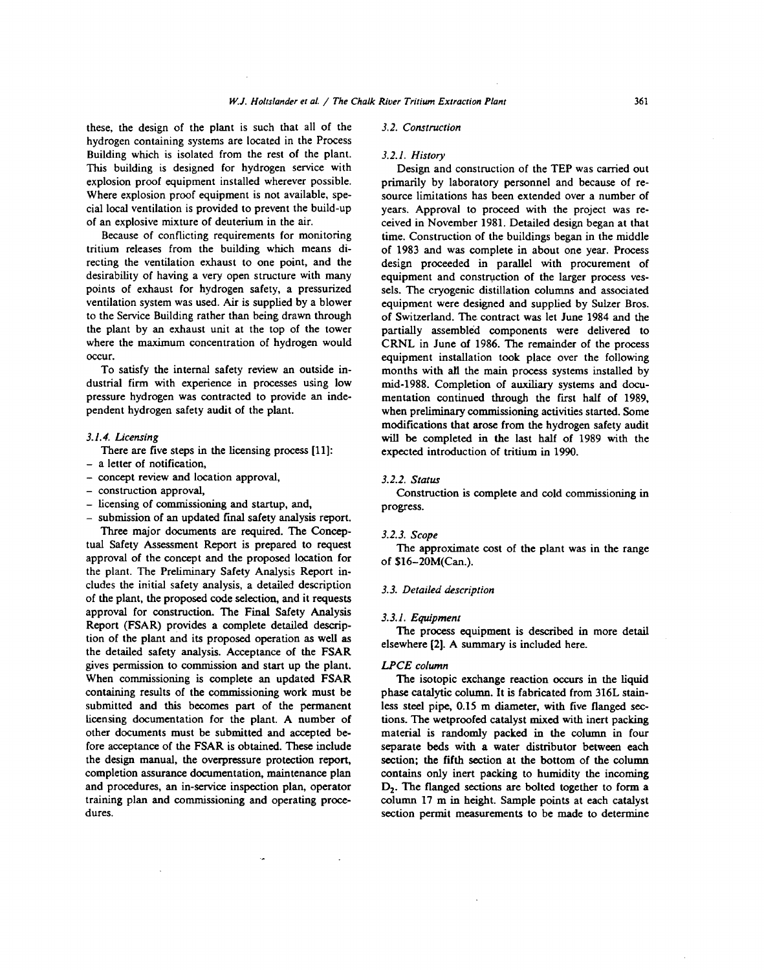these, the design of the plant is such that all of the hydrogen containing systems are located in the Process Building which is isolated from the rest of the plant. This building is designed for hydrogen service with explosion proof equipment installed wherever possible. Where explosion proof equipment is not available, special local ventilation is provided to prevent the build-up of an explosive mixture of deuterium in the air.

Because of conflicting requirements for monitoring tritium releases from the building which means directing the ventilation exhaust to one point, and the desirability of having a very open structure with many points of exhaust for hydrogen safety, a pressurized ventilation system was used. Air is supplied by a blower to the Service Building rather than being drawn through the plant by an exhaust unit at the top of the tower where the maximum concentration of hydrogen would occur.

To satisfy the internal safety review an outside industrial firm with experience in processes using low pressure hydrogen was contracted to provide an independent hydrogen safety audit of the plant.

# *3.1.4. Licensing*

There are five steps in the licensing process [11]:

- a letter of notification.
- concept review and location approval,
- construction approval,
- licensing of commissioning and startup, and,

submission of an updated final safety analysis report. Three major documents are required. The Conceptual Safety Assessment Report is prepared to request approval of the concept and the proposed location for the plant. The Preliminary Safety Analysis Report includes the initial safety analysis, a detailed description of the plant, the proposed code selection, and it requests approval for construction. The Final Safety Analysis Report (FSAR) provides a complete detailed description of the plant and its proposed operation as well as the detailed safety analysis. Acceptance of the FSAR gives permission to commission and start up the plant. When commissioning is complete an updated FSAR containing results of the commissioning work must be submitted and this becomes part of the permanent licensing documentation for the plant. A number of other documents must be submitted and accepted before acceptance of the FSAR is obtained. These include the design manual, the overpressure protection report, completion assurance documentation, maintenance plan and procedures, an in-service inspection plan, operator training plan and commissioning and operating procedures.

#### *3.2. Construction*

# *3.2.1. History*

Design and construction of the TEP was carried out primarily by laboratory personnel and because of resource limitations has been extended over a number of years. Approval to proceed with the project was received in November 1981. Detailed design began at that time. Construction of the buildings began in the middle of 1983 and was complete in about one year. Process design proceeded in parallel with procurement of equipment and construction of the larger process vessels. The cryogenic distillation columns and associated equipment were designed and supplied by Sulzer Bros, of Switzerland. The contract was let June 1984 and the partially assembled components were delivered to CRNL in June of 1986. The remainder of the process equipment installation took place over the following months with aH the main process systems installed by mid-1988. Completion of auxiliary systems and documentation continued through the first half of 1989, when preliminary commissioning activities started. Some modifications that arose from the hydrogen safety audit will be completed in the last half of 1989 with the expected introduction of tritium in 1990.

### *3.2.2. Status*

Construction is complete and cold commissioning in progress.

## *3.2.3. Scope*

The approximate cost of the plant was in the range of \$16-20M(Can.).

# *3.3. Detailed description*

#### *3.3.1. Equipment*

The process equipment is described in more detail elsewhere [2]. A summary is included here.

## *LPCE column*

The isotopic exchange reaction occurs in the liquid phase catalytic column. It is fabricated from 316L stainless steel pipe, 0.15 m diameter, with five flanged sections. The wetproofed catalyst mixed with inert packing material is randomly packed in the column in four separate beds with a water distributor between each section; the fifth section at the bottom of the column contains only inert packing to humidity the incoming D<sub>2</sub>. The flanged sections are bolted together to form a column 17 m in height. Sample points at each catalyst section permit measurements to be made to determine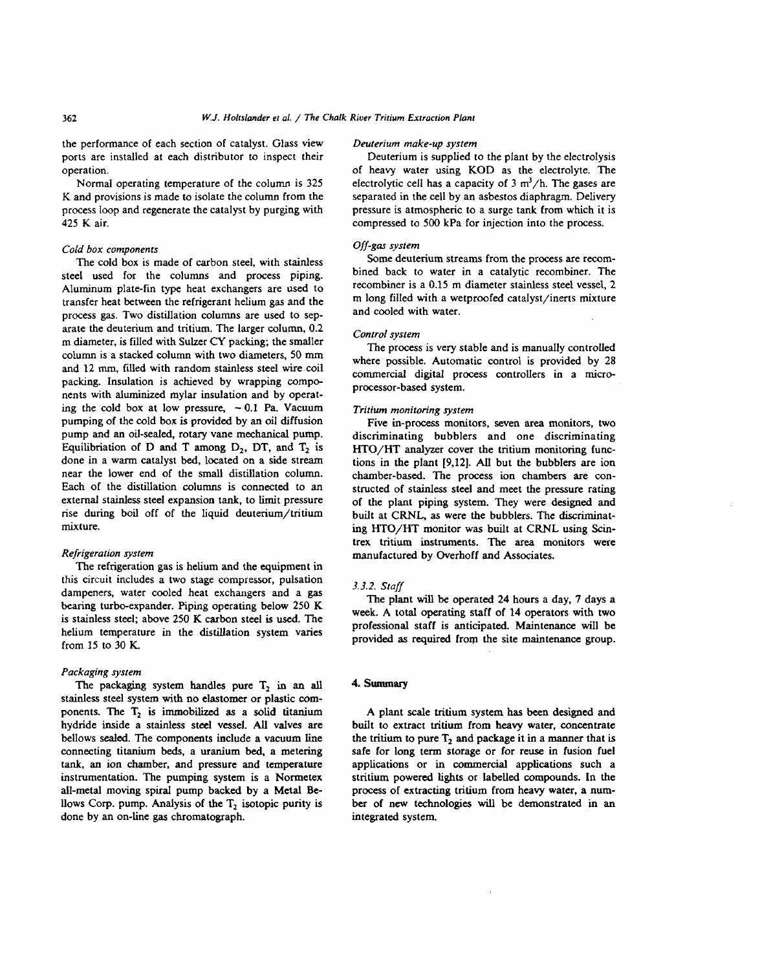the performance of each section of catalyst. Glass view ports are installed at each distributor to inspect their operation.

Normal operating temperature of the column is 325 K and provisions is made to isolate the column from the process loop and regenerate the catalyst by purging with 425 K air.

## *Cold box components*

The cold box is made of carbon steel, with stainless steel used for the columns and process piping. Aluminum plate-fin type heat exchangers are used to transfer heat between the refrigerant helium gas and the process gas. Two distillation columns are used to separate the deuterium and tritium. The larger column, 0.2 m diameter, is filled with Sulzer CY packing; the smaller column is a stacked column with two diameters, 50 mm and 12 mm, filled with random stainless steel wire coil packing. Insulation is achieved by wrapping components with aluminized mylar insulation and by operating the cold box at low pressure,  $\sim 0.1$  Pa. Vacuum pumping of the cold box is provided by an oil diffusion pump and an oil-sealed, rotary vane mechanical pump. Equilibriation of D and T among  $D_2$ , DT, and  $T_2$  is done in a warm catalyst bed, located on a side stream near the lower end of the small distillation column. Each of the distillation columns is connected to an external stainless steel expansion tank, to limit pressure rise during boil off of the liquid deuterium/tritium mixture.

## *Refrigeration system*

The refrigeration gas is helium and the equipment in this circuit includes a two stage compressor, pulsation dampeners, water cooled heat exchangers and a gas bearing turbo-expander. Piping operating below 250 K is stainless steel; above 250 K carbon steel is used. The helium temperature in the distillation system varies from 15 to 30 K.

#### *Packaging system*

The packaging system handles pure  $T_2$  in an all stainless steel system with no elastomer or plastic components. The  $T_2$  is immobilized as a solid titanium hydride inside a stainless steel vessel. All valves are bellows sealed. The components include a vacuum line connecting titanium beds, a uranium bed, a metering tank, an ion chamber, and pressure and temperature instrumentation. The pumping system is a Normetex all-metal moving spiral pump backed by a Metal Bellows Corp. pump. Analysis of the  $T_2$  isotopic purity is done by an on-line gas chromatograph.

# *Deuterium make-up system*

Deuterium is supplied to the plant by the electrolysis of heavy water using KOD as the electrolyte. The electrolytic cell has a capacity of  $3 \text{ m}^3/\text{h}$ . The gases are separated in the cell by an asbestos diaphragm. Delivery pressure is atmospheric to a surge tank from which it is compressed to 500 kPa for injection into the process.

# *Off-gas system*

Some deuterium streams from the process are recombined back to water in a catalytic recombiner. The recombiner is a 0.15 m diameter stainless steel vessel, 2 m long filled with a wetproofed catalyst/inerts mixture and cooled with water.

## *Control system*

The process is very stable and is manually controlled where possible. Automatic control is provided by 28 commercial digital process controllers in a microprocessor-based system.

#### *Tritium monitoring system*

Five in-process monitors, seven area monitors, two discriminating bubblers and one discriminating HTO/HT analyzer cover the tritium monitoring functions in the plant [9,12]. All but the bubblers are ion chamber-based. The process ion chambers are constructed of stainless steel and meet the pressure rating of the plant piping system. They were designed and built at CRNL, as were the bubblers. The discriminating HTO/HT monitor was built at CRNL using Scintrex tritium instruments. The area monitors were manufactured by Overhoff and Associates.

## *3.3.2. Staff*

The plant will be operated 24 hours a day, 7 days a week. A total operating staff of 14 operators with two professional staff is anticipated. Maintenance will be provided as required from the site maintenance group.

# 4. Summary

A plant scale tritium system has been designed and built to extract tritium from heavy water, concentrate the tritium to pure  $T<sub>2</sub>$  and package it in a manner that is safe for long term storage or for reuse in fusion fuel applications or in commercial applications such a stritium powered lights or labelled compounds. In the process of extracting tritium from heavy water, a number of new technologies will be demonstrated in an integrated system.